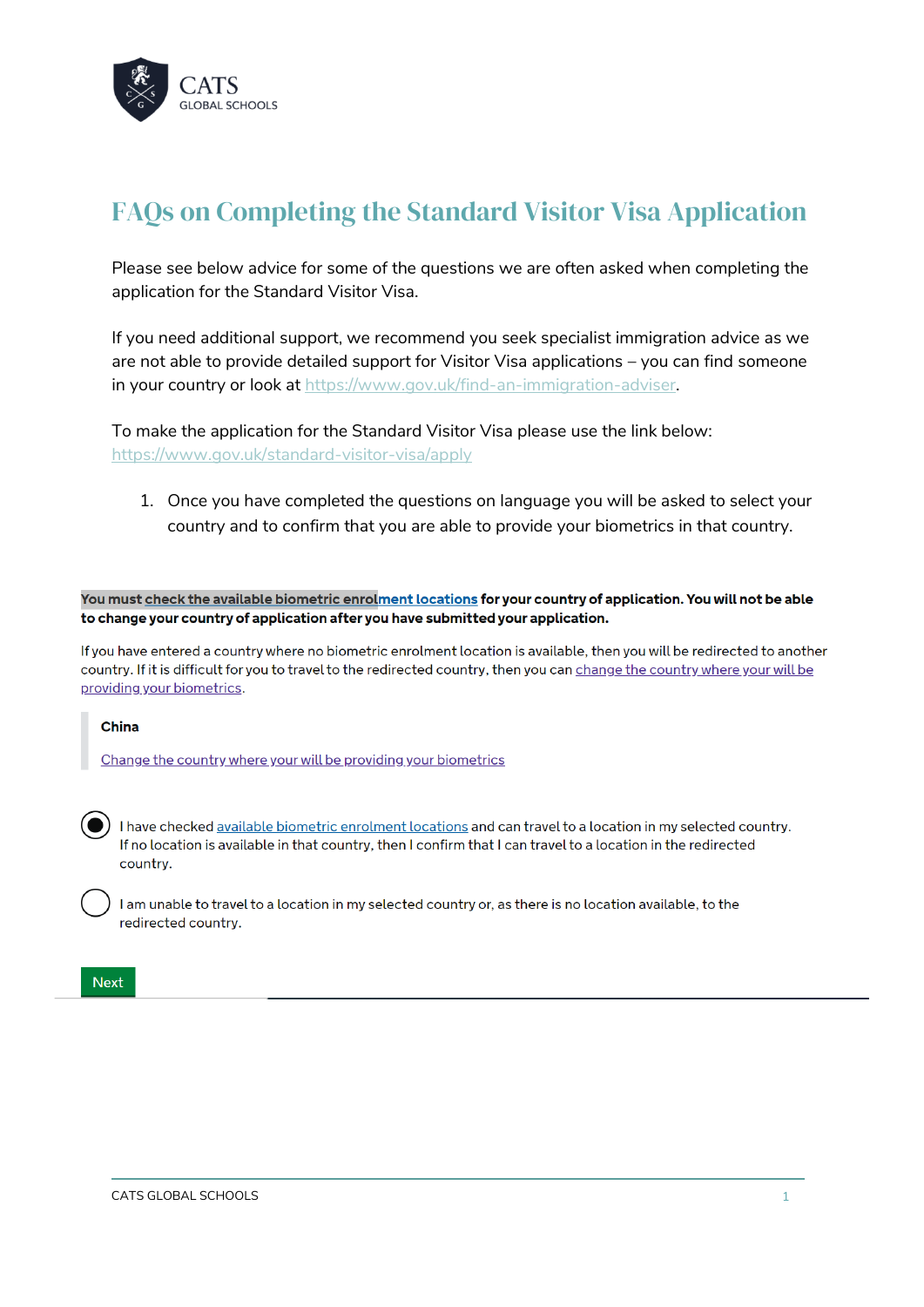

# FAQs on Completing the Standard Visitor Visa Application

Please see below advice for some of the questions we are often asked when completing the application for the Standard Visitor Visa.

If you need additional support, we recommend you seek specialist immigration advice as we are not able to provide detailed support for Visitor Visa applications – you can find someone in your country or look at [https://www.gov.uk/find-an-immigration-adviser.](https://www.gov.uk/find-an-immigration-adviser)

To make the application for the Standard Visitor Visa please use the link below: <https://www.gov.uk/standard-visitor-visa/apply>

1. Once you have completed the questions on language you will be asked to select your country and to confirm that you are able to provide your biometrics in that country.

You must check the available biometric enrolment locations for your country of application. You will not be able to change your country of application after you have submitted your application.

If you have entered a country where no biometric enrolment location is available, then you will be redirected to another country. If it is difficult for you to travel to the redirected country, then you can change the country where your will be providing your biometrics.

#### China

Change the country where your will be providing your biometrics

I have checked available biometric enrolment locations and can travel to a location in my selected country. If no location is available in that country, then I confirm that I can travel to a location in the redirected country.

I am unable to travel to a location in my selected country or, as there is no location available, to the redirected country.

#### **Next**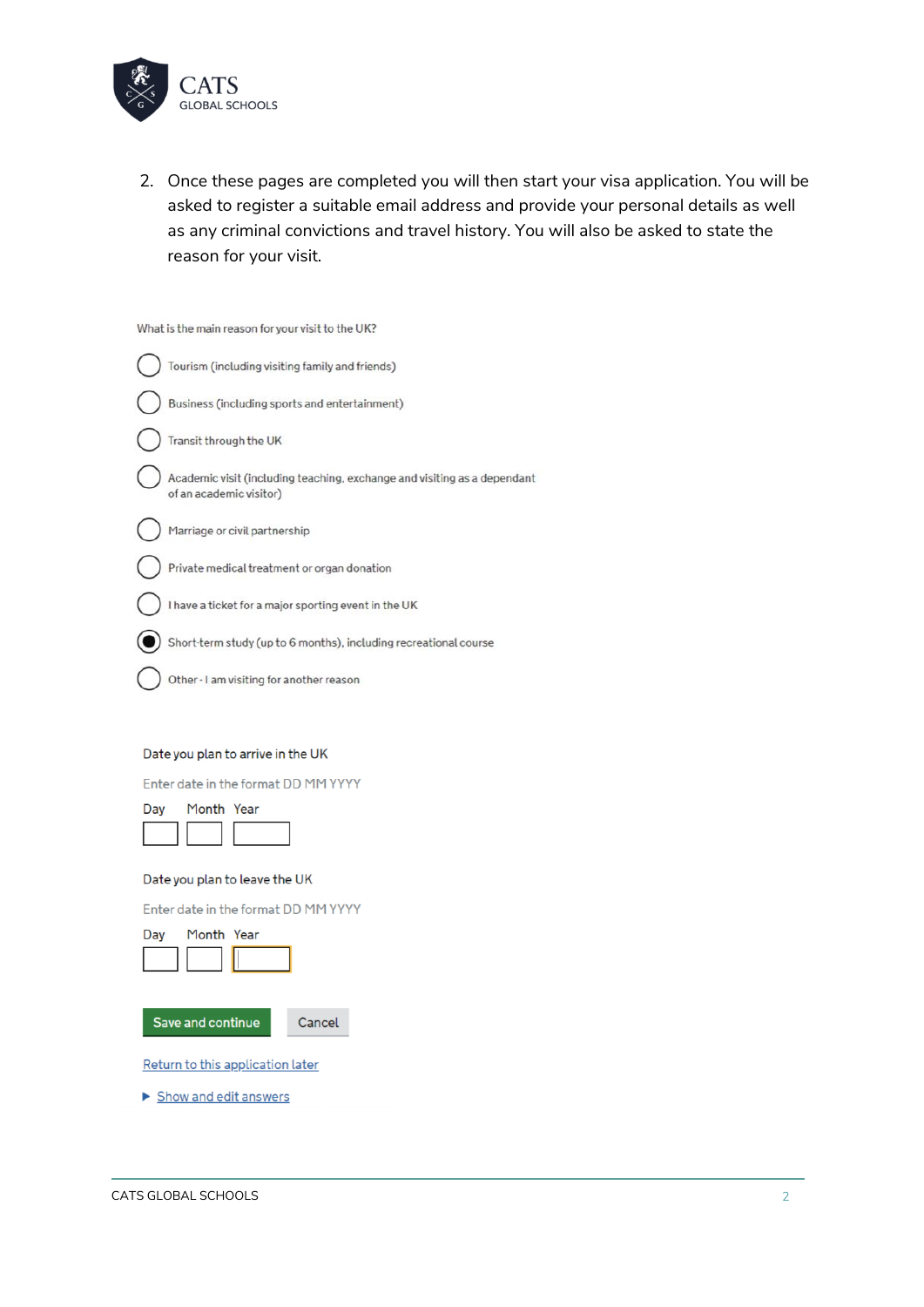

2. Once these pages are completed you will then start your visa application. You will be asked to register a suitable email address and provide your personal details as well as any criminal convictions and travel history. You will also be asked to state the reason for your visit.

| What is the main reason for your visit to the UK?                                                   |
|-----------------------------------------------------------------------------------------------------|
| Tourism (including visiting family and friends)                                                     |
| Business (including sports and entertainment)                                                       |
| Transit through the UK                                                                              |
| Academic visit (including teaching, exchange and visiting as a dependant<br>of an academic visitor) |
| Marriage or civil partnership                                                                       |
| Private medical treatment or organ donation                                                         |
| I have a ticket for a major sporting event in the UK                                                |
| Short-term study (up to 6 months), including recreational course                                    |
| Other - I am visiting for another reason                                                            |
|                                                                                                     |
| Date you plan to arrive in the UK                                                                   |
| Enter date in the format DD MM YYYY                                                                 |
| Month Year<br>Day                                                                                   |
|                                                                                                     |
| Date you plan to leave the UK                                                                       |
| Enter date in the format DD MM YYYY                                                                 |
| Month Year<br>Day                                                                                   |
|                                                                                                     |
| Save and continue<br>Cancel                                                                         |
|                                                                                                     |
| Return to this application later                                                                    |

Show and edit answers